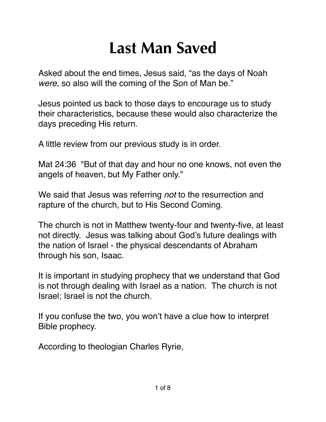## **Last Man Saved**

Asked about the end times, Jesus said, "as the days of Noah *were,* so also will the coming of the Son of Man be."

Jesus pointed us back to those days to encourage us to study their characteristics, because these would also characterize the days preceding His return.

A little review from our previous study is in order.

Mat 24:36 "But of that day and hour no one knows, not even the angels of heaven, but My Father only."

We said that Jesus was referring *not* to the resurrection and rapture of the church, but to His Second Coming.

The church is not in Matthew twenty-four and twenty-five, at least not directly. Jesus was talking about God's future dealings with the nation of Israel - the physical descendants of Abraham through his son, Isaac.

It is important in studying prophecy that we understand that God is not through dealing with Israel as a nation. The church is not Israel; Israel is not the church.

If you confuse the two, you won't have a clue how to interpret Bible prophecy.

According to theologian Charles Ryrie,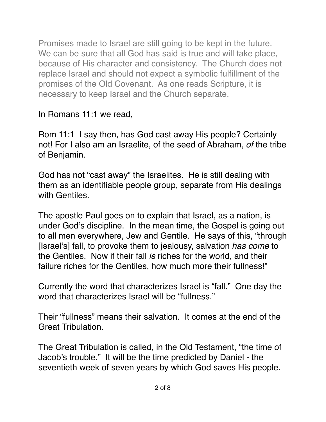Promises made to Israel are still going to be kept in the future. We can be sure that all God has said is true and will take place, because of His character and consistency. The Church does not replace Israel and should not expect a symbolic fulfillment of the promises of the Old Covenant. As one reads Scripture, it is necessary to keep Israel and the Church separate.

In Romans 11:1 we read,

[Rom 11:1](verseid:45.11.1) I say then, has God cast away His people? Certainly not! For I also am an Israelite, of the seed of Abraham, *of* the tribe of Benjamin.

God has not "cast away" the Israelites. He is still dealing with them as an identifiable people group, separate from His dealings with Gentiles

The apostle Paul goes on to explain that Israel, as a nation, is under God's discipline. In the mean time, the Gospel is going out to all men everywhere, Jew and Gentile. He says of this, "through [Israel's] fall, to provoke them to jealousy, salvation *has come* to the Gentiles. Now if their fall *is* riches for the world, and their failure riches for the Gentiles, how much more their fullness!"

Currently the word that characterizes Israel is "fall." One day the word that characterizes Israel will be "fullness."

Their "fullness" means their salvation. It comes at the end of the Great Tribulation.

The Great Tribulation is called, in the Old Testament, "the time of Jacob's trouble." It will be the time predicted by Daniel - the seventieth week of seven years by which God saves His people.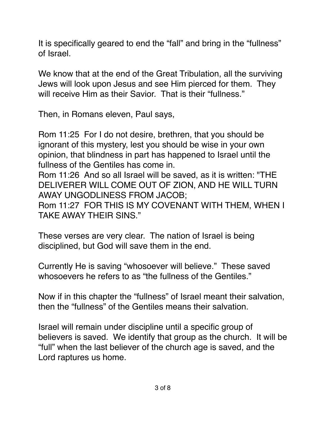It is specifically geared to end the "fall" and bring in the "fullness" of Israel.

We know that at the end of the Great Tribulation, all the surviving Jews will look upon Jesus and see Him pierced for them. They will receive Him as their Savior. That is their "fullness."

Then, in Romans eleven, Paul says,

[Rom 11:25](verseid:45.11.25) For I do not desire, brethren, that you should be ignorant of this mystery, lest you should be wise in your own opinion, that blindness in part has happened to Israel until the fullness of the Gentiles has come in.

[Rom 11:26](verseid:45.11.26) And so all Israel will be saved, as it is written: "THE DELIVERER WILL COME OUT OF ZION, AND HE WILL TURN AWAY UNGODLINESS FROM JACOB;

[Rom 11:27](verseid:45.11.27) FOR THIS IS MY COVENANT WITH THEM, WHEN I TAKE AWAY THEIR SINS."

These verses are very clear. The nation of Israel is being disciplined, but God will save them in the end.

Currently He is saving "whosoever will believe." These saved whosoevers he refers to as "the fullness of the Gentiles."

Now if in this chapter the "fullness" of Israel meant their salvation, then the "fullness" of the Gentiles means their salvation.

Israel will remain under discipline until a specific group of believers is saved. We identify that group as the church. It will be "full" when the last believer of the church age is saved, and the Lord raptures us home.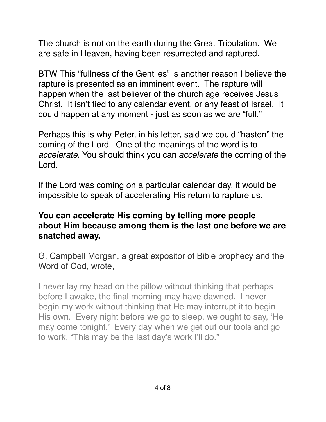The church is not on the earth during the Great Tribulation. We are safe in Heaven, having been resurrected and raptured.

BTW This "fullness of the Gentiles" is another reason I believe the rapture is presented as an imminent event. The rapture will happen when the last believer of the church age receives Jesus Christ. It isn't tied to any calendar event, or any feast of Israel. It could happen at any moment - just as soon as we are "full."

Perhaps this is why Peter, in his letter, said we could "hasten" the coming of the Lord. One of the meanings of the word is to *accelerate*. You should think you can *accelerate* the coming of the Lord.

If the Lord was coming on a particular calendar day, it would be impossible to speak of accelerating His return to rapture us.

## **You can accelerate His coming by telling more people about Him because among them is the last one before we are snatched away.**

G. Campbell Morgan, a great expositor of Bible prophecy and the Word of God, wrote,

I never lay my head on the pillow without thinking that perhaps before I awake, the final morning may have dawned. I never begin my work without thinking that He may interrupt it to begin His own. Every night before we go to sleep, we ought to say, 'He may come tonight.' Every day when we get out our tools and go to work, "This may be the last day's work I'll do."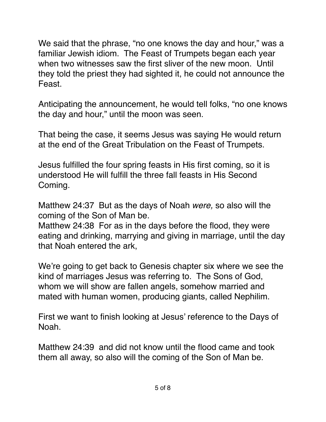We said that the phrase, "no one knows the day and hour," was a familiar Jewish idiom. The Feast of Trumpets began each year when two witnesses saw the first sliver of the new moon. Until they told the priest they had sighted it, he could not announce the Feast.

Anticipating the announcement, he would tell folks, "no one knows the day and hour," until the moon was seen.

That being the case, it seems Jesus was saying He would return at the end of the Great Tribulation on the Feast of Trumpets.

Jesus fulfilled the four spring feasts in His first coming, so it is understood He will fulfill the three fall feasts in His Second Coming.

Matthew 24:37 But as the days of Noah *were,* so also will the coming of the Son of Man be.

Matthew 24:38 For as in the days before the flood, they were eating and drinking, marrying and giving in marriage, until the day that Noah entered the ark,

We're going to get back to Genesis chapter six where we see the kind of marriages Jesus was referring to. The Sons of God, whom we will show are fallen angels, somehow married and mated with human women, producing giants, called Nephilim.

First we want to finish looking at Jesus' reference to the Days of Noah.

Matthew 24:39 and did not know until the flood came and took them all away, so also will the coming of the Son of Man be.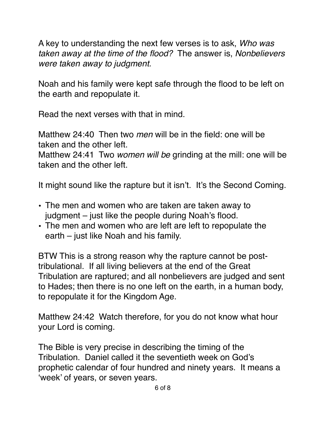A key to understanding the next few verses is to ask, *Who was taken away at the time of the flood?* The answer is, *Nonbelievers were taken away to judgment.*

Noah and his family were kept safe through the flood to be left on the earth and repopulate it.

Read the next verses with that in mind.

Matthew 24:40 Then two *men* will be in the field: one will be taken and the other left.

Matthew 24:41 Two *women will be* grinding at the mill: one will be taken and the other left.

It might sound like the rapture but it isn't. It's the Second Coming.

- The men and women who are taken are taken away to judgment – just like the people during Noah's flood.
- The men and women who are left are left to repopulate the earth – just like Noah and his family.

BTW This is a strong reason why the rapture cannot be posttribulational. If all living believers at the end of the Great Tribulation are raptured; and all nonbelievers are judged and sent to Hades; then there is no one left on the earth, in a human body, to repopulate it for the Kingdom Age.

Matthew 24:42 Watch therefore, for you do not know what hour your Lord is coming.

The Bible is very precise in describing the timing of the Tribulation. Daniel called it the seventieth week on God's prophetic calendar of four hundred and ninety years. It means a 'week' of years, or seven years.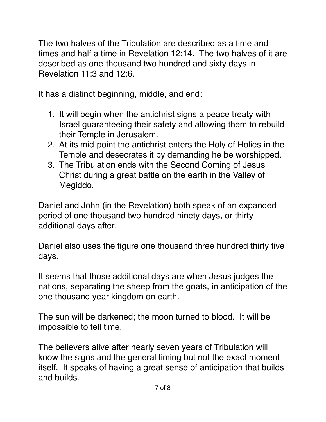The two halves of the Tribulation are described as a time and times and half a time in Revelation 12:14. The two halves of it are described as one-thousand two hundred and sixty days in Revelation 11:3 and 12:6.

It has a distinct beginning, middle, and end:

- 1. It will begin when the antichrist signs a peace treaty with Israel guaranteeing their safety and allowing them to rebuild their Temple in Jerusalem.
- 2. At its mid-point the antichrist enters the Holy of Holies in the Temple and desecrates it by demanding he be worshipped.
- 3. The Tribulation ends with the Second Coming of Jesus Christ during a great battle on the earth in the Valley of Megiddo.

Daniel and John (in the Revelation) both speak of an expanded period of one thousand two hundred ninety days, or thirty additional days after.

Daniel also uses the figure one thousand three hundred thirty five days.

It seems that those additional days are when Jesus judges the nations, separating the sheep from the goats, in anticipation of the one thousand year kingdom on earth.

The sun will be darkened; the moon turned to blood. It will be impossible to tell time.

The believers alive after nearly seven years of Tribulation will know the signs and the general timing but not the exact moment itself. It speaks of having a great sense of anticipation that builds and builds.